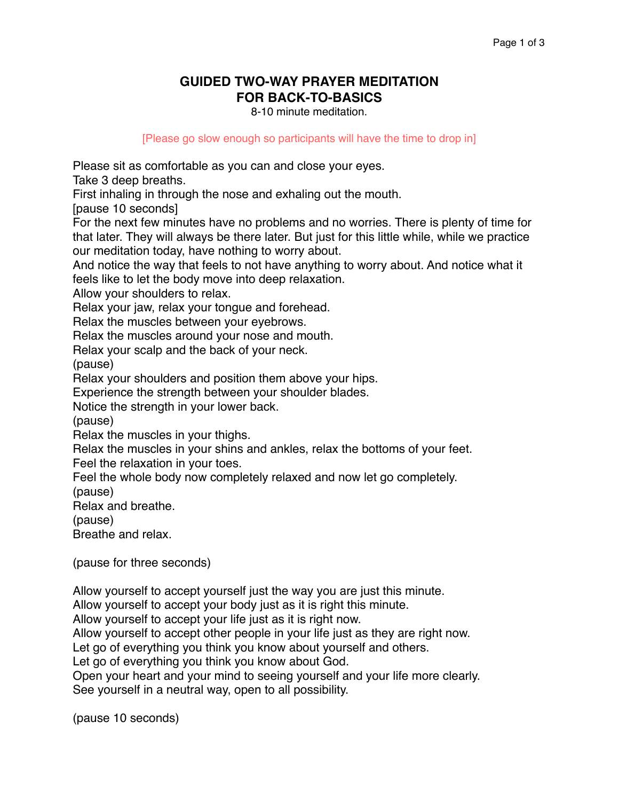## **GUIDED TWO-WAY PRAYER MEDITATION FOR BACK-TO-BASICS**

8-10 minute meditation.

[Please go slow enough so participants will have the time to drop in]

Please sit as comfortable as you can and close your eyes.

Take 3 deep breaths.

First inhaling in through the nose and exhaling out the mouth.

[pause 10 seconds]

For the next few minutes have no problems and no worries. There is plenty of time for that later. They will always be there later. But just for this little while, while we practice our meditation today, have nothing to worry about.

And notice the way that feels to not have anything to worry about. And notice what it feels like to let the body move into deep relaxation.

Allow your shoulders to relax.

Relax your jaw, relax your tongue and forehead.

Relax the muscles between your eyebrows.

Relax the muscles around your nose and mouth.

Relax your scalp and the back of your neck.

(pause)

Relax your shoulders and position them above your hips.

Experience the strength between your shoulder blades.

Notice the strength in your lower back.

(pause)

Relax the muscles in your thighs.

Relax the muscles in your shins and ankles, relax the bottoms of your feet.

Feel the relaxation in your toes.

Feel the whole body now completely relaxed and now let go completely.

(pause)

Relax and breathe.

(pause)

Breathe and relax.

(pause for three seconds)

Allow yourself to accept yourself just the way you are just this minute.

Allow yourself to accept your body just as it is right this minute.

Allow yourself to accept your life just as it is right now.

Allow yourself to accept other people in your life just as they are right now.

Let go of everything you think you know about yourself and others.

Let go of everything you think you know about God.

Open your heart and your mind to seeing yourself and your life more clearly. See yourself in a neutral way, open to all possibility.

(pause 10 seconds)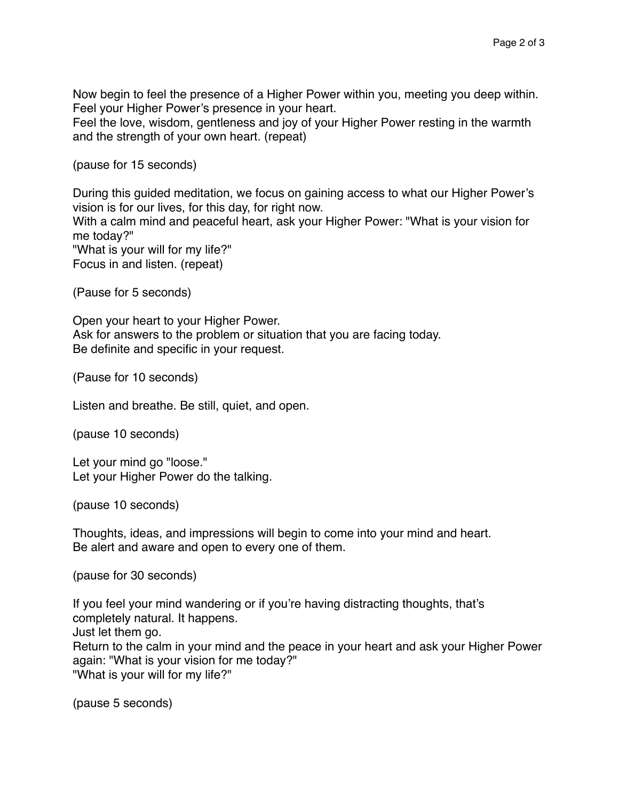Now begin to feel the presence of a Higher Power within you, meeting you deep within. Feel your Higher Power's presence in your heart.

Feel the love, wisdom, gentleness and joy of your Higher Power resting in the warmth and the strength of your own heart. (repeat)

(pause for 15 seconds)

During this guided meditation, we focus on gaining access to what our Higher Power's vision is for our lives, for this day, for right now.

With a calm mind and peaceful heart, ask your Higher Power: "What is your vision for me today?"

"What is your will for my life?" Focus in and listen. (repeat)

(Pause for 5 seconds)

Open your heart to your Higher Power. Ask for answers to the problem or situation that you are facing today. Be definite and specific in your request.

(Pause for 10 seconds)

Listen and breathe. Be still, quiet, and open.

(pause 10 seconds)

Let your mind go "loose." Let your Higher Power do the talking.

(pause 10 seconds)

Thoughts, ideas, and impressions will begin to come into your mind and heart. Be alert and aware and open to every one of them.

(pause for 30 seconds)

If you feel your mind wandering or if you're having distracting thoughts, that's completely natural. It happens. Just let them go. Return to the calm in your mind and the peace in your heart and ask your Higher Power again: "What is your vision for me today?" "What is your will for my life?"

(pause 5 seconds)